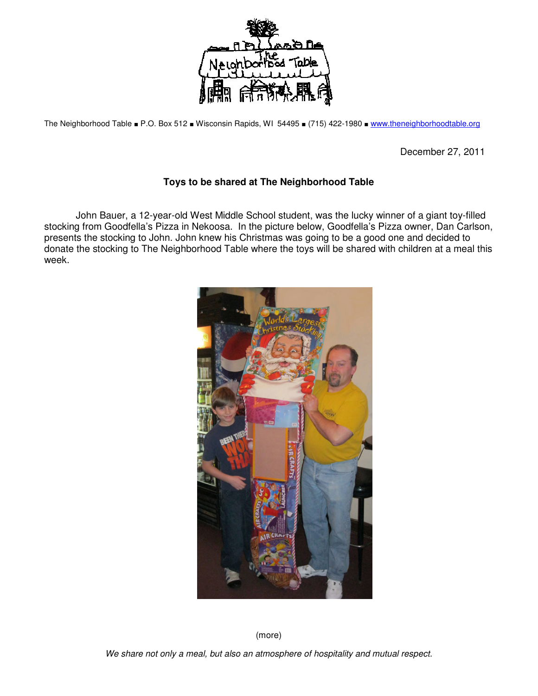

The Neighborhood Table ■ P.O. Box 512 ■ Wisconsin Rapids, WI 54495 ■ (715) 422-1980 ■ www.theneighborhoodtable.org

December 27, 2011

## **Toys to be shared at The Neighborhood Table**

 John Bauer, a 12-year-old West Middle School student, was the lucky winner of a giant toy-filled stocking from Goodfella's Pizza in Nekoosa. In the picture below, Goodfella's Pizza owner, Dan Carlson, presents the stocking to John. John knew his Christmas was going to be a good one and decided to donate the stocking to The Neighborhood Table where the toys will be shared with children at a meal this week.



(more)